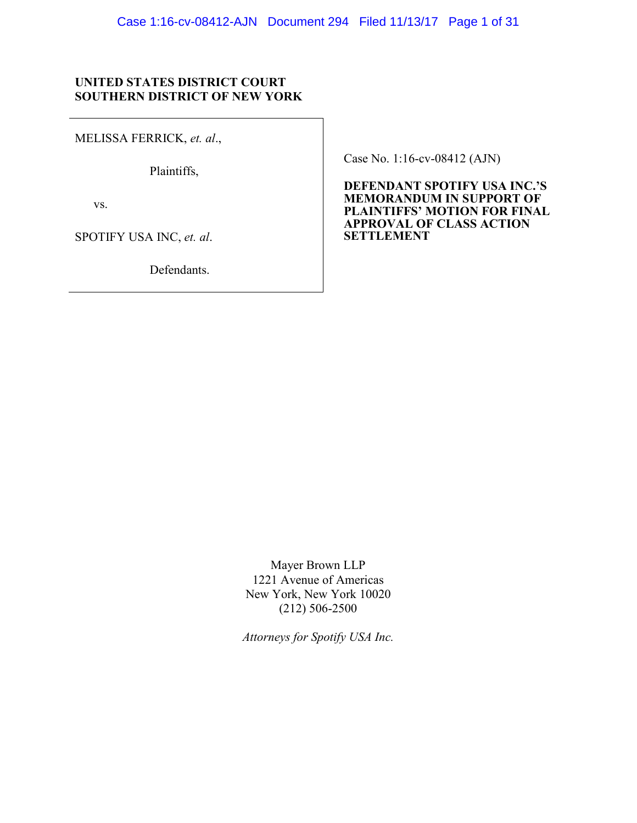## **UNITED STATES DISTRICT COURT SOUTHERN DISTRICT OF NEW YORK**

MELISSA FERRICK, *et. al*.,

Plaintiffs,

vs.

SPOTIFY USA INC, *et. al*.

Defendants.

Case No. 1:16-cv-08412 (AJN)

**DEFENDANT SPOTIFY USA INC.'S MEMORANDUM IN SUPPORT OF PLAINTIFFS' MOTION FOR FINAL APPROVAL OF CLASS ACTION SETTLEMENT**

Mayer Brown LLP 1221 Avenue of Americas New York, New York 10020 (212) 506-2500

*Attorneys for Spotify USA Inc.*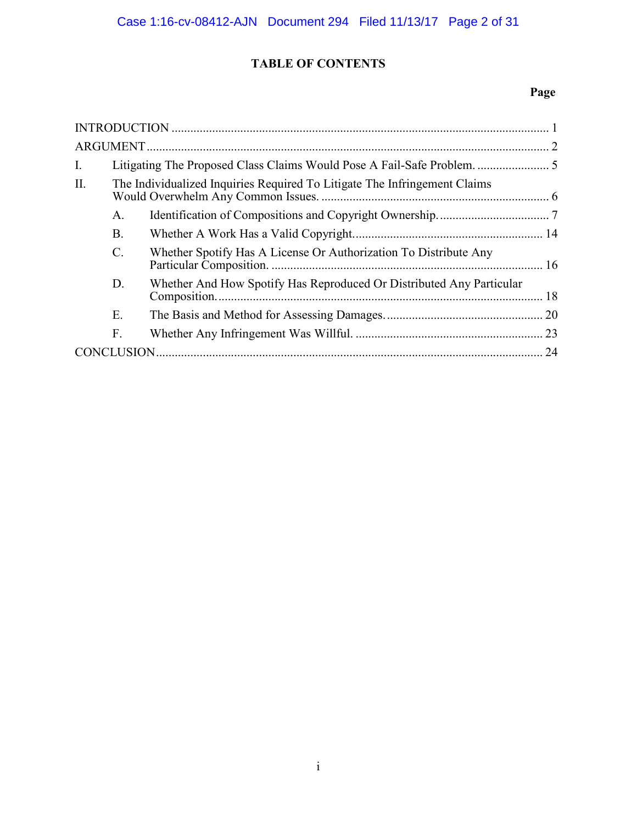# **TABLE OF CONTENTS**

# **Page**

| Ι.  |                                                                           |                                                                      |      |
|-----|---------------------------------------------------------------------------|----------------------------------------------------------------------|------|
| II. | The Individualized Inquiries Required To Litigate The Infringement Claims |                                                                      |      |
|     | A.                                                                        |                                                                      |      |
|     | <b>B</b> .                                                                |                                                                      |      |
|     | $\mathcal{C}$                                                             | Whether Spotify Has A License Or Authorization To Distribute Any     |      |
|     | D.                                                                        | Whether And How Spotify Has Reproduced Or Distributed Any Particular |      |
|     | Е.                                                                        |                                                                      |      |
|     | F.                                                                        |                                                                      | . 23 |
|     |                                                                           |                                                                      | 24   |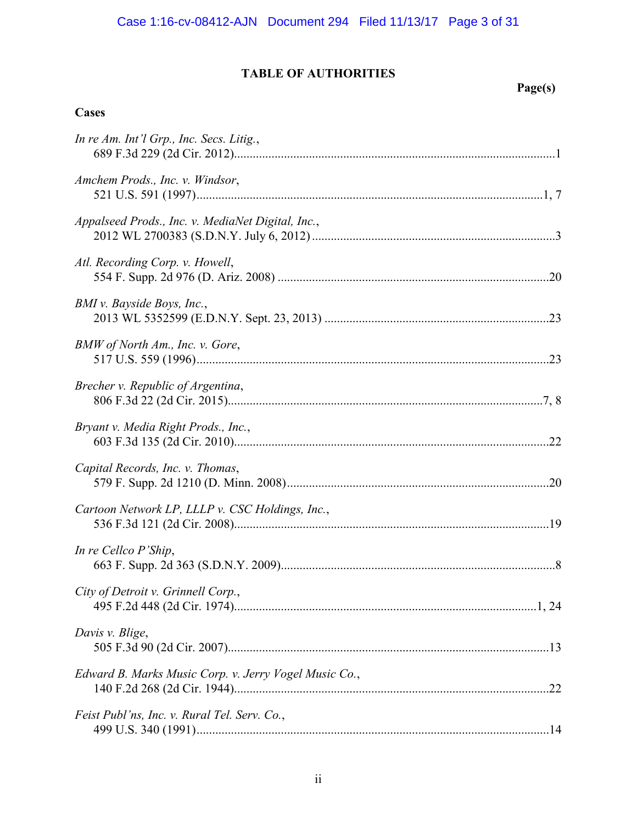# **TABLE OF AUTHORITIES**

# **Page(s)**

# **Cases**

| In re Am. Int'l Grp., Inc. Secs. Litig.,              |  |
|-------------------------------------------------------|--|
| Amchem Prods., Inc. v. Windsor,                       |  |
| Appalseed Prods., Inc. v. MediaNet Digital, Inc.,     |  |
| Atl. Recording Corp. v. Howell,                       |  |
| BMI v. Bayside Boys, Inc.,                            |  |
| BMW of North Am., Inc. v. Gore,                       |  |
| Brecher v. Republic of Argentina,                     |  |
| Bryant v. Media Right Prods., Inc.,                   |  |
| Capital Records, Inc. v. Thomas,                      |  |
| Cartoon Network LP, LLLP v. CSC Holdings, Inc.,       |  |
| In re Cellco P'Ship,                                  |  |
| City of Detroit v. Grinnell Corp.,                    |  |
| Davis v. Blige,                                       |  |
| Edward B. Marks Music Corp. v. Jerry Vogel Music Co., |  |
| Feist Publ'ns, Inc. v. Rural Tel. Serv. Co.,          |  |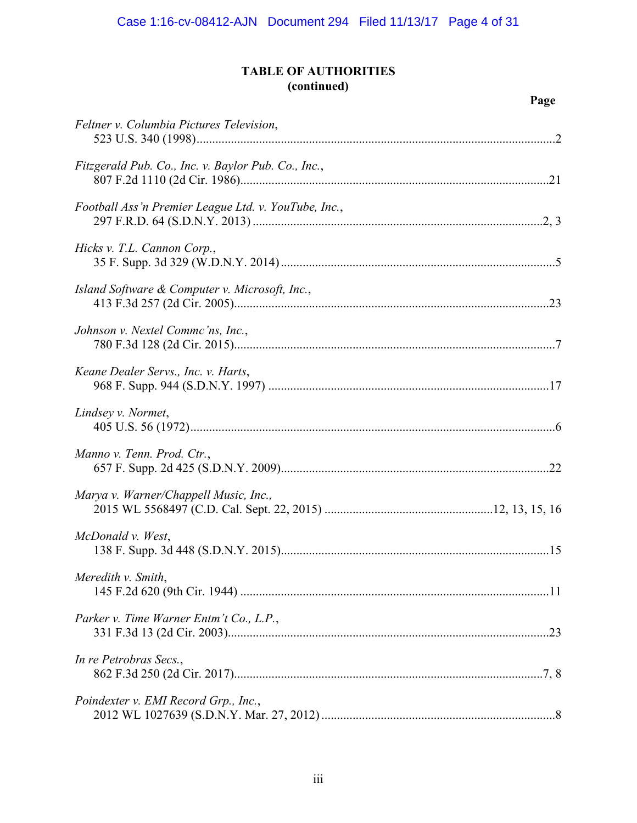# **TABLE OF AUTHORITIES (continued)**

| Feltner v. Columbia Pictures Television,             |  |
|------------------------------------------------------|--|
| Fitzgerald Pub. Co., Inc. v. Baylor Pub. Co., Inc.,  |  |
| Football Ass'n Premier League Ltd. v. YouTube, Inc., |  |
| Hicks v. T.L. Cannon Corp.,                          |  |
| Island Software & Computer v. Microsoft, Inc.,       |  |
| Johnson v. Nextel Commc'ns, Inc.,                    |  |
| Keane Dealer Servs., Inc. v. Harts,                  |  |
| Lindsey v. Normet,                                   |  |
| Manno v. Tenn. Prod. Ctr.,                           |  |
| Marya v. Warner/Chappell Music, Inc.,                |  |
| McDonald v. West,                                    |  |
| Meredith v. Smith,                                   |  |
| Parker v. Time Warner Entm't Co., L.P.,              |  |
| In re Petrobras Secs.,                               |  |
| Poindexter v. EMI Record Grp., Inc.,                 |  |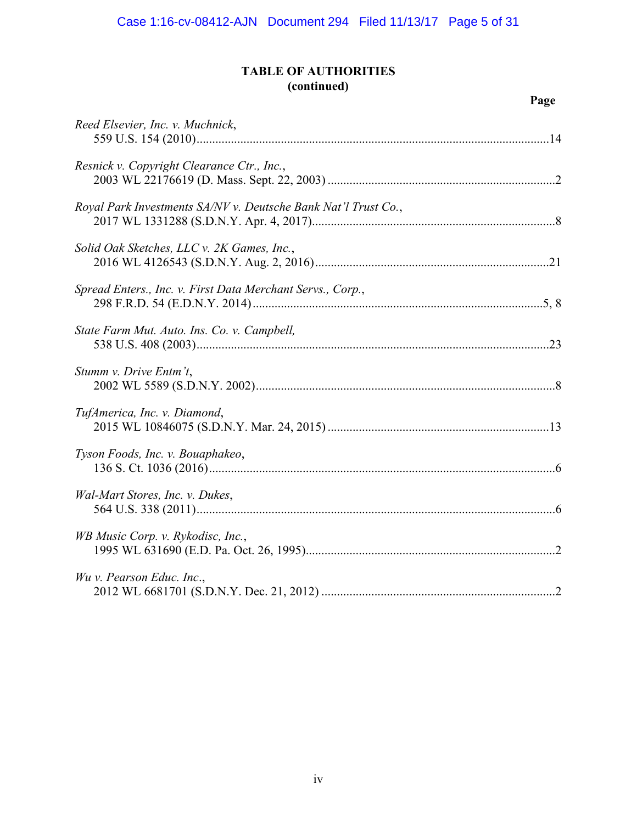# **TABLE OF AUTHORITIES (continued)**

# **Page**

| Reed Elsevier, Inc. v. Muchnick,                               |  |
|----------------------------------------------------------------|--|
| Resnick v. Copyright Clearance Ctr., Inc.,                     |  |
| Royal Park Investments SA/NV v. Deutsche Bank Nat'l Trust Co., |  |
| Solid Oak Sketches, LLC v. 2K Games, Inc.,                     |  |
| Spread Enters., Inc. v. First Data Merchant Servs., Corp.,     |  |
| State Farm Mut. Auto. Ins. Co. v. Campbell,                    |  |
| Stumm v. Drive Entm't,                                         |  |
| TufAmerica, Inc. v. Diamond,                                   |  |
| Tyson Foods, Inc. v. Bouaphakeo,                               |  |
| Wal-Mart Stores, Inc. v. Dukes,                                |  |
| WB Music Corp. v. Rykodisc, Inc.,                              |  |
| Wu v. Pearson Educ. Inc.,                                      |  |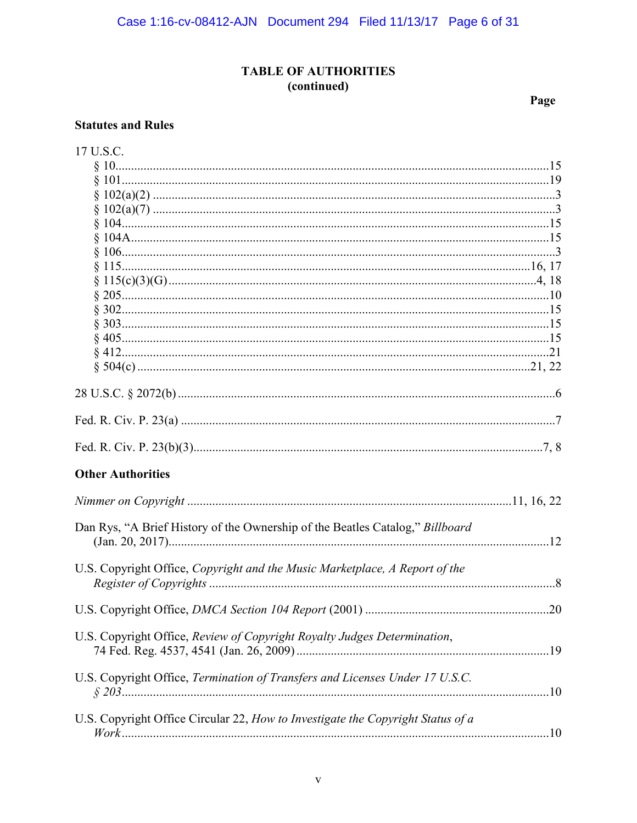# **TABLE OF AUTHORITIES** (continued)

Page

## **Statutes and Rules**

| 17 U.S.C.                                                                       |  |
|---------------------------------------------------------------------------------|--|
|                                                                                 |  |
|                                                                                 |  |
|                                                                                 |  |
|                                                                                 |  |
|                                                                                 |  |
|                                                                                 |  |
|                                                                                 |  |
|                                                                                 |  |
|                                                                                 |  |
|                                                                                 |  |
|                                                                                 |  |
|                                                                                 |  |
|                                                                                 |  |
|                                                                                 |  |
|                                                                                 |  |
|                                                                                 |  |
|                                                                                 |  |
|                                                                                 |  |
|                                                                                 |  |
| <b>Other Authorities</b>                                                        |  |
|                                                                                 |  |
| Dan Rys, "A Brief History of the Ownership of the Beatles Catalog," Billboard   |  |
|                                                                                 |  |
| U.S. Copyright Office, Copyright and the Music Marketplace, A Report of the     |  |
|                                                                                 |  |
| U.S. Copyright Office, Review of Copyright Royalty Judges Determination,        |  |
|                                                                                 |  |
| U.S. Copyright Office, Termination of Transfers and Licenses Under 17 U.S.C.    |  |
| U.S. Copyright Office Circular 22, How to Investigate the Copyright Status of a |  |
|                                                                                 |  |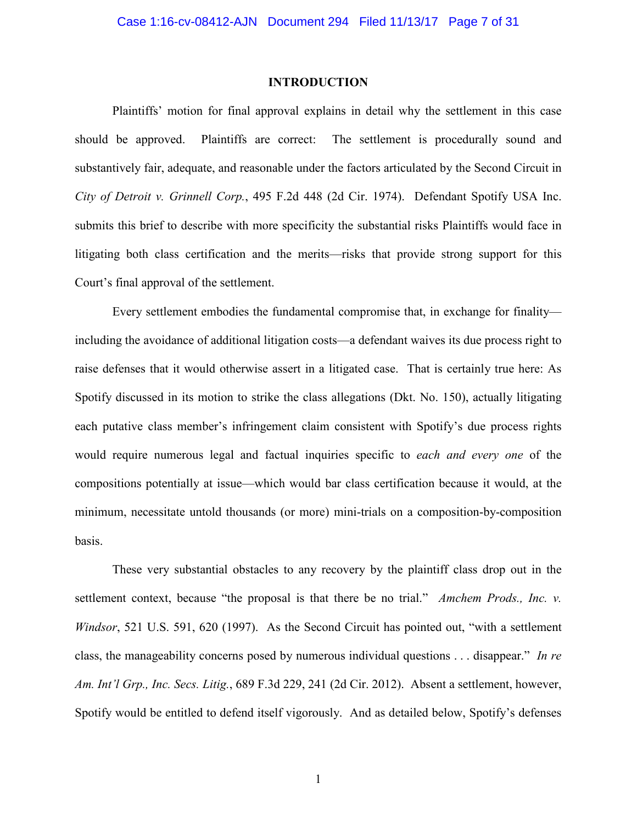#### **INTRODUCTION**

Plaintiffs' motion for final approval explains in detail why the settlement in this case should be approved. Plaintiffs are correct: The settlement is procedurally sound and substantively fair, adequate, and reasonable under the factors articulated by the Second Circuit in *City of Detroit v. Grinnell Corp.*, 495 F.2d 448 (2d Cir. 1974). Defendant Spotify USA Inc. submits this brief to describe with more specificity the substantial risks Plaintiffs would face in litigating both class certification and the merits—risks that provide strong support for this Court's final approval of the settlement.

Every settlement embodies the fundamental compromise that, in exchange for finality including the avoidance of additional litigation costs—a defendant waives its due process right to raise defenses that it would otherwise assert in a litigated case. That is certainly true here: As Spotify discussed in its motion to strike the class allegations (Dkt. No. 150), actually litigating each putative class member's infringement claim consistent with Spotify's due process rights would require numerous legal and factual inquiries specific to *each and every one* of the compositions potentially at issue—which would bar class certification because it would, at the minimum, necessitate untold thousands (or more) mini-trials on a composition-by-composition basis.

These very substantial obstacles to any recovery by the plaintiff class drop out in the settlement context, because "the proposal is that there be no trial." *Amchem Prods., Inc. v. Windsor*, 521 U.S. 591, 620 (1997). As the Second Circuit has pointed out, "with a settlement" class, the manageability concerns posed by numerous individual questions . . . disappear." *In re Am. Int'l Grp., Inc. Secs. Litig.*, 689 F.3d 229, 241 (2d Cir. 2012). Absent a settlement, however, Spotify would be entitled to defend itself vigorously. And as detailed below, Spotify's defenses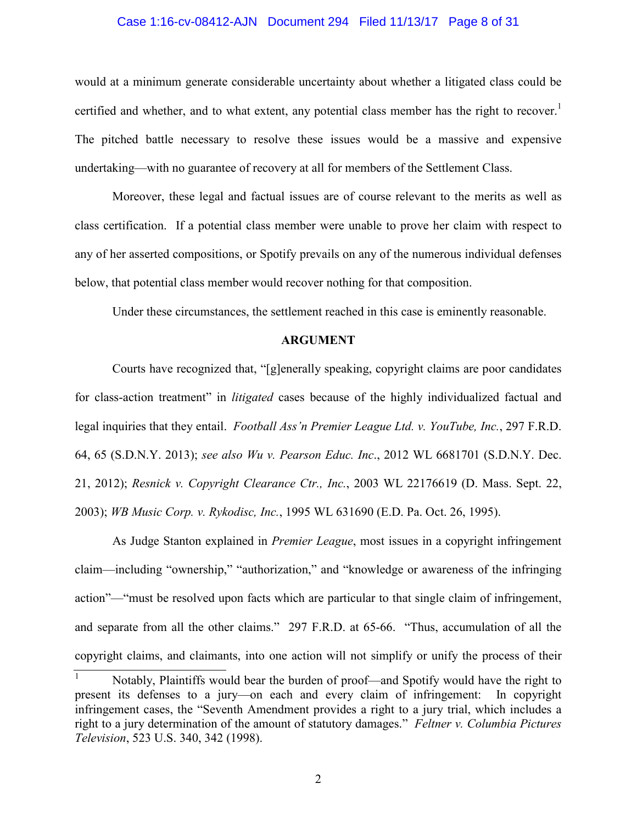#### Case 1:16-cv-08412-AJN Document 294 Filed 11/13/17 Page 8 of 31

would at a minimum generate considerable uncertainty about whether a litigated class could be certified and whether, and to what extent, any potential class member has the right to recover.<sup>1</sup> The pitched battle necessary to resolve these issues would be a massive and expensive undertaking—with no guarantee of recovery at all for members of the Settlement Class.

Moreover, these legal and factual issues are of course relevant to the merits as well as class certification. If a potential class member were unable to prove her claim with respect to any of her asserted compositions, or Spotify prevails on any of the numerous individual defenses below, that potential class member would recover nothing for that composition.

Under these circumstances, the settlement reached in this case is eminently reasonable.

#### **ARGUMENT**

Courts have recognized that, "[g]enerally speaking, copyright claims are poor candidates for class-action treatment" in *litigated* cases because of the highly individualized factual and legal inquiries that they entail. *Football Ass'n Premier League Ltd. v. YouTube, Inc.*, 297 F.R.D. 64, 65 (S.D.N.Y. 2013); *see also Wu v. Pearson Educ. Inc*., 2012 WL 6681701 (S.D.N.Y. Dec. 21, 2012); *Resnick v. Copyright Clearance Ctr., Inc.*, 2003 WL 22176619 (D. Mass. Sept. 22, 2003); *WB Music Corp. v. Rykodisc, Inc.*, 1995 WL 631690 (E.D. Pa. Oct. 26, 1995).

As Judge Stanton explained in *Premier League*, most issues in a copyright infringement claim—including "ownership," "authorization," and "knowledge or awareness of the infringing action"—"must be resolved upon facts which are particular to that single claim of infringement, and separate from all the other claims." 297 F.R.D. at 65-66. "Thus, accumulation of all the copyright claims, and claimants, into one action will not simplify or unify the process of their

<sup>1</sup> Notably, Plaintiffs would bear the burden of proof—and Spotify would have the right to present its defenses to a jury—on each and every claim of infringement: In copyright infringement cases, the "Seventh Amendment provides a right to a jury trial, which includes a right to a jury determination of the amount of statutory damages." *Feltner v. Columbia Pictures Television*, 523 U.S. 340, 342 (1998).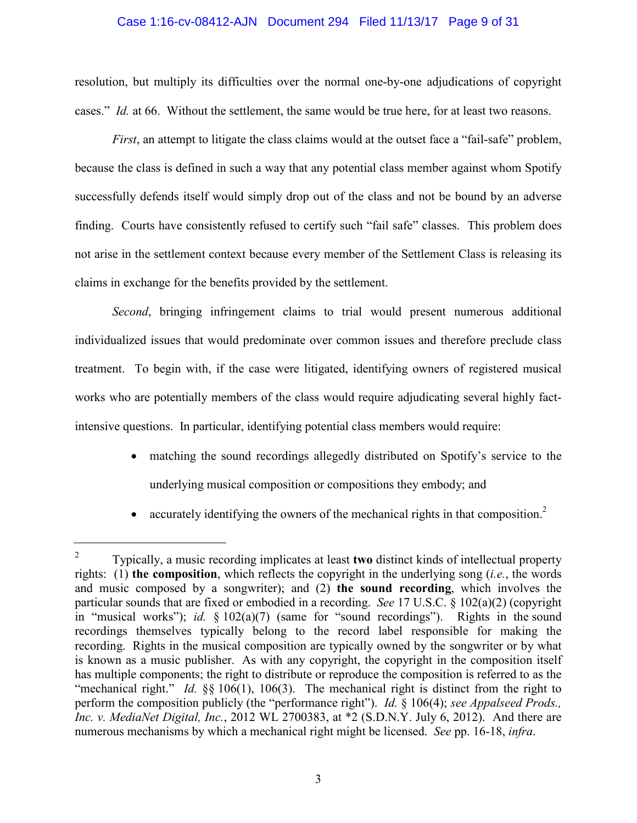#### Case 1:16-cv-08412-AJN Document 294 Filed 11/13/17 Page 9 of 31

resolution, but multiply its difficulties over the normal one-by-one adjudications of copyright cases." *Id.* at 66. Without the settlement, the same would be true here, for at least two reasons.

*First*, an attempt to litigate the class claims would at the outset face a "fail-safe" problem, because the class is defined in such a way that any potential class member against whom Spotify successfully defends itself would simply drop out of the class and not be bound by an adverse finding. Courts have consistently refused to certify such "fail safe" classes. This problem does not arise in the settlement context because every member of the Settlement Class is releasing its claims in exchange for the benefits provided by the settlement.

*Second*, bringing infringement claims to trial would present numerous additional individualized issues that would predominate over common issues and therefore preclude class treatment. To begin with, if the case were litigated, identifying owners of registered musical works who are potentially members of the class would require adjudicating several highly factintensive questions. In particular, identifying potential class members would require:

- matching the sound recordings allegedly distributed on Spotify's service to the underlying musical composition or compositions they embody; and
- accurately identifying the owners of the mechanical rights in that composition.<sup>2</sup>

<sup>2</sup> Typically, a music recording implicates at least **two** distinct kinds of intellectual property rights: (1) **the composition**, which reflects the copyright in the underlying song (*i.e.*, the words and music composed by a songwriter); and (2) **the sound recording**, which involves the particular sounds that are fixed or embodied in a recording. *See* 17 U.S.C. § 102(a)(2) (copyright in "musical works"); *id.* § 102(a)(7) (same for "sound recordings"). Rights in the sound recordings themselves typically belong to the record label responsible for making the recording. Rights in the musical composition are typically owned by the songwriter or by what is known as a music publisher. As with any copyright, the copyright in the composition itself has multiple components; the right to distribute or reproduce the composition is referred to as the "mechanical right." *Id.* §§ 106(1), 106(3). The mechanical right is distinct from the right to perform the composition publicly (the "performance right"). *Id.* § 106(4); *see Appalseed Prods., Inc. v. MediaNet Digital, Inc.*, 2012 WL 2700383, at \*2 (S.D.N.Y. July 6, 2012). And there are numerous mechanisms by which a mechanical right might be licensed. *See* pp. 16-18, *infra*.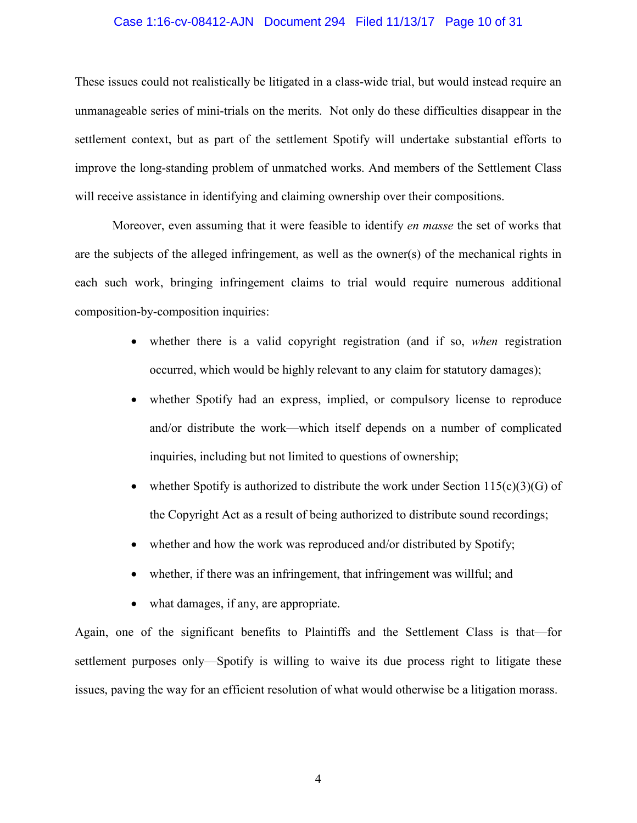#### Case 1:16-cv-08412-AJN Document 294 Filed 11/13/17 Page 10 of 31

These issues could not realistically be litigated in a class-wide trial, but would instead require an unmanageable series of mini-trials on the merits. Not only do these difficulties disappear in the settlement context, but as part of the settlement Spotify will undertake substantial efforts to improve the long-standing problem of unmatched works. And members of the Settlement Class will receive assistance in identifying and claiming ownership over their compositions.

Moreover, even assuming that it were feasible to identify *en masse* the set of works that are the subjects of the alleged infringement, as well as the owner(s) of the mechanical rights in each such work, bringing infringement claims to trial would require numerous additional composition-by-composition inquiries:

- whether there is a valid copyright registration (and if so, *when* registration occurred, which would be highly relevant to any claim for statutory damages);
- whether Spotify had an express, implied, or compulsory license to reproduce and/or distribute the work—which itself depends on a number of complicated inquiries, including but not limited to questions of ownership;
- whether Spotify is authorized to distribute the work under Section  $115(c)(3)(G)$  of the Copyright Act as a result of being authorized to distribute sound recordings;
- whether and how the work was reproduced and/or distributed by Spotify;
- whether, if there was an infringement, that infringement was willful; and
- what damages, if any, are appropriate.

Again, one of the significant benefits to Plaintiffs and the Settlement Class is that—for settlement purposes only—Spotify is willing to waive its due process right to litigate these issues, paving the way for an efficient resolution of what would otherwise be a litigation morass.

4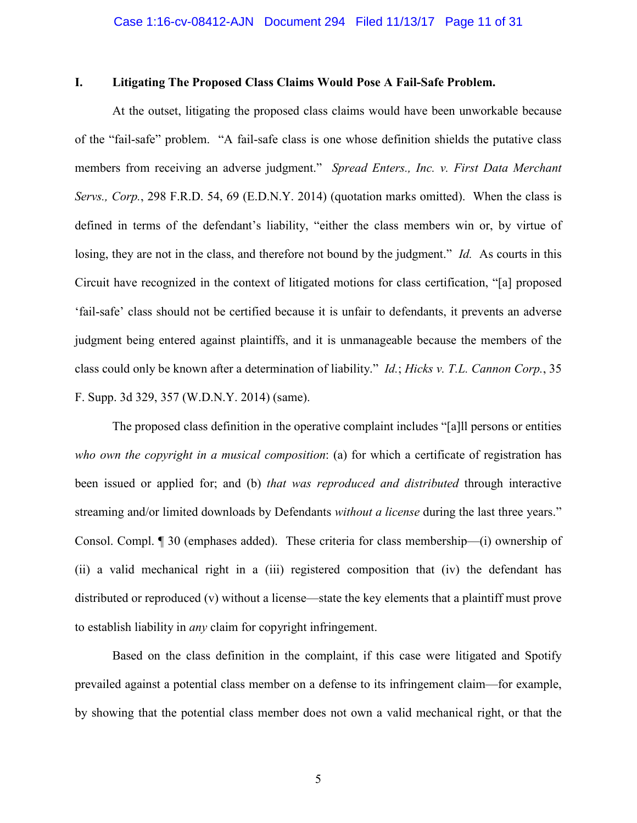## **I. Litigating The Proposed Class Claims Would Pose A Fail-Safe Problem.**

At the outset, litigating the proposed class claims would have been unworkable because of the "fail-safe" problem. "A fail-safe class is one whose definition shields the putative class members from receiving an adverse judgment." *Spread Enters., Inc. v. First Data Merchant Servs., Corp.*, 298 F.R.D. 54, 69 (E.D.N.Y. 2014) (quotation marks omitted). When the class is defined in terms of the defendant's liability, "either the class members win or, by virtue of losing, they are not in the class, and therefore not bound by the judgment." *Id.* As courts in this Circuit have recognized in the context of litigated motions for class certification, "[a] proposed 'fail-safe' class should not be certified because it is unfair to defendants, it prevents an adverse judgment being entered against plaintiffs, and it is unmanageable because the members of the class could only be known after a determination of liability." *Id.*; *Hicks v. T.L. Cannon Corp.*, 35 F. Supp. 3d 329, 357 (W.D.N.Y. 2014) (same).

The proposed class definition in the operative complaint includes "[a]ll persons or entities *who own the copyright in a musical composition*: (a) for which a certificate of registration has been issued or applied for; and (b) *that was reproduced and distributed* through interactive streaming and/or limited downloads by Defendants *without a license* during the last three years." Consol. Compl. ¶ 30 (emphases added). These criteria for class membership—(i) ownership of (ii) a valid mechanical right in a (iii) registered composition that (iv) the defendant has distributed or reproduced (v) without a license—state the key elements that a plaintiff must prove to establish liability in *any* claim for copyright infringement.

Based on the class definition in the complaint, if this case were litigated and Spotify prevailed against a potential class member on a defense to its infringement claim—for example, by showing that the potential class member does not own a valid mechanical right, or that the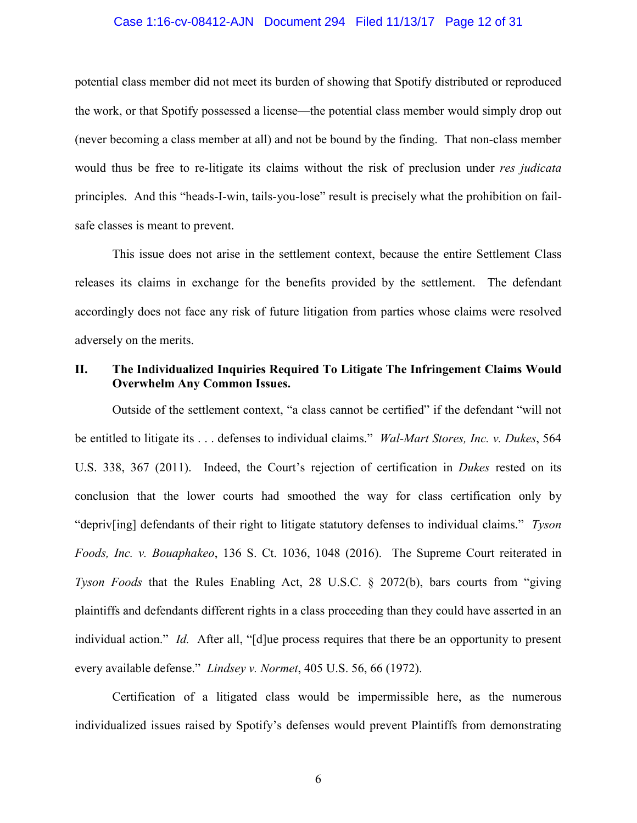#### Case 1:16-cv-08412-AJN Document 294 Filed 11/13/17 Page 12 of 31

potential class member did not meet its burden of showing that Spotify distributed or reproduced the work, or that Spotify possessed a license—the potential class member would simply drop out (never becoming a class member at all) and not be bound by the finding. That non-class member would thus be free to re-litigate its claims without the risk of preclusion under *res judicata* principles. And this "heads-I-win, tails-you-lose" result is precisely what the prohibition on failsafe classes is meant to prevent.

This issue does not arise in the settlement context, because the entire Settlement Class releases its claims in exchange for the benefits provided by the settlement. The defendant accordingly does not face any risk of future litigation from parties whose claims were resolved adversely on the merits.

## **II. The Individualized Inquiries Required To Litigate The Infringement Claims Would Overwhelm Any Common Issues.**

Outside of the settlement context, "a class cannot be certified" if the defendant "will not be entitled to litigate its . . . defenses to individual claims." *Wal-Mart Stores, Inc. v. Dukes*, 564 U.S. 338, 367 (2011). Indeed, the Court's rejection of certification in *Dukes* rested on its conclusion that the lower courts had smoothed the way for class certification only by "depriv[ing] defendants of their right to litigate statutory defenses to individual claims." *Tyson Foods, Inc. v. Bouaphakeo*, 136 S. Ct. 1036, 1048 (2016). The Supreme Court reiterated in *Tyson Foods* that the Rules Enabling Act, 28 U.S.C. § 2072(b), bars courts from "giving plaintiffs and defendants different rights in a class proceeding than they could have asserted in an individual action." *Id.* After all, "[d]ue process requires that there be an opportunity to present every available defense." *Lindsey v. Normet*, 405 U.S. 56, 66 (1972).

Certification of a litigated class would be impermissible here, as the numerous individualized issues raised by Spotify's defenses would prevent Plaintiffs from demonstrating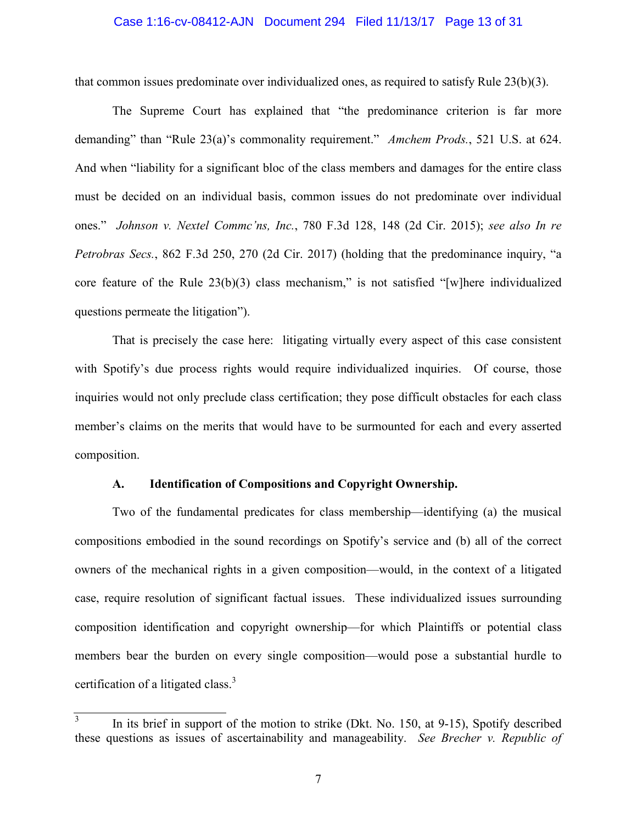#### Case 1:16-cv-08412-AJN Document 294 Filed 11/13/17 Page 13 of 31

that common issues predominate over individualized ones, as required to satisfy Rule 23(b)(3).

The Supreme Court has explained that "the predominance criterion is far more demanding" than "Rule 23(a)'s commonality requirement." *Amchem Prods.*, 521 U.S. at 624. And when "liability for a significant bloc of the class members and damages for the entire class must be decided on an individual basis, common issues do not predominate over individual ones." *Johnson v. Nextel Commc'ns, Inc.*, 780 F.3d 128, 148 (2d Cir. 2015); *see also In re Petrobras Secs.*, 862 F.3d 250, 270 (2d Cir. 2017) (holding that the predominance inquiry, "a core feature of the Rule 23(b)(3) class mechanism," is not satisfied "[w]here individualized questions permeate the litigation").

That is precisely the case here: litigating virtually every aspect of this case consistent with Spotify's due process rights would require individualized inquiries. Of course, those inquiries would not only preclude class certification; they pose difficult obstacles for each class member's claims on the merits that would have to be surmounted for each and every asserted composition.

## **A. Identification of Compositions and Copyright Ownership.**

Two of the fundamental predicates for class membership—identifying (a) the musical compositions embodied in the sound recordings on Spotify's service and (b) all of the correct owners of the mechanical rights in a given composition—would, in the context of a litigated case, require resolution of significant factual issues. These individualized issues surrounding composition identification and copyright ownership—for which Plaintiffs or potential class members bear the burden on every single composition—would pose a substantial hurdle to certification of a litigated class. $3$ 

<sup>3</sup> In its brief in support of the motion to strike (Dkt. No. 150, at 9-15), Spotify described these questions as issues of ascertainability and manageability. *See Brecher v. Republic of*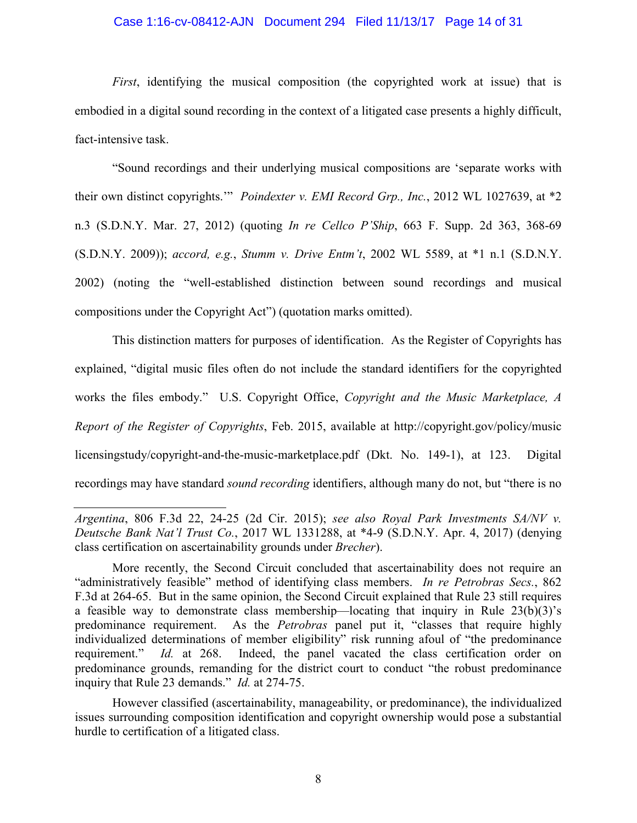#### Case 1:16-cv-08412-AJN Document 294 Filed 11/13/17 Page 14 of 31

*First*, identifying the musical composition (the copyrighted work at issue) that is embodied in a digital sound recording in the context of a litigated case presents a highly difficult, fact-intensive task.

"Sound recordings and their underlying musical compositions are 'separate works with their own distinct copyrights.'" *Poindexter v. EMI Record Grp., Inc.*, 2012 WL 1027639, at \*2 n.3 (S.D.N.Y. Mar. 27, 2012) (quoting *In re Cellco P'Ship*, 663 F. Supp. 2d 363, 368-69 (S.D.N.Y. 2009)); *accord, e.g.*, *Stumm v. Drive Entm't*, 2002 WL 5589, at \*1 n.1 (S.D.N.Y. 2002) (noting the "well-established distinction between sound recordings and musical compositions under the Copyright Act") (quotation marks omitted).

This distinction matters for purposes of identification. As the Register of Copyrights has explained, "digital music files often do not include the standard identifiers for the copyrighted works the files embody." U.S. Copyright Office, *Copyright and the Music Marketplace, A Report of the Register of Copyrights*, Feb. 2015, available at http://copyright.gov/policy/music licensingstudy/copyright-and-the-music-marketplace.pdf (Dkt. No. 149-1), at 123. Digital recordings may have standard *sound recording* identifiers, although many do not, but "there is no

However classified (ascertainability, manageability, or predominance), the individualized issues surrounding composition identification and copyright ownership would pose a substantial hurdle to certification of a litigated class.

*Argentina*, 806 F.3d 22, 24-25 (2d Cir. 2015); *see also Royal Park Investments SA/NV v. Deutsche Bank Nat'l Trust Co.*, 2017 WL 1331288, at \*4-9 (S.D.N.Y. Apr. 4, 2017) (denying class certification on ascertainability grounds under *Brecher*).

More recently, the Second Circuit concluded that ascertainability does not require an "administratively feasible" method of identifying class members. *In re Petrobras Secs.*, 862 F.3d at 264-65. But in the same opinion, the Second Circuit explained that Rule 23 still requires a feasible way to demonstrate class membership—locating that inquiry in Rule 23(b)(3)'s predominance requirement. As the *Petrobras* panel put it, "classes that require highly individualized determinations of member eligibility" risk running afoul of "the predominance requirement." *Id.* at 268. Indeed, the panel vacated the class certification order on predominance grounds, remanding for the district court to conduct "the robust predominance inquiry that Rule 23 demands." *Id.* at 274-75.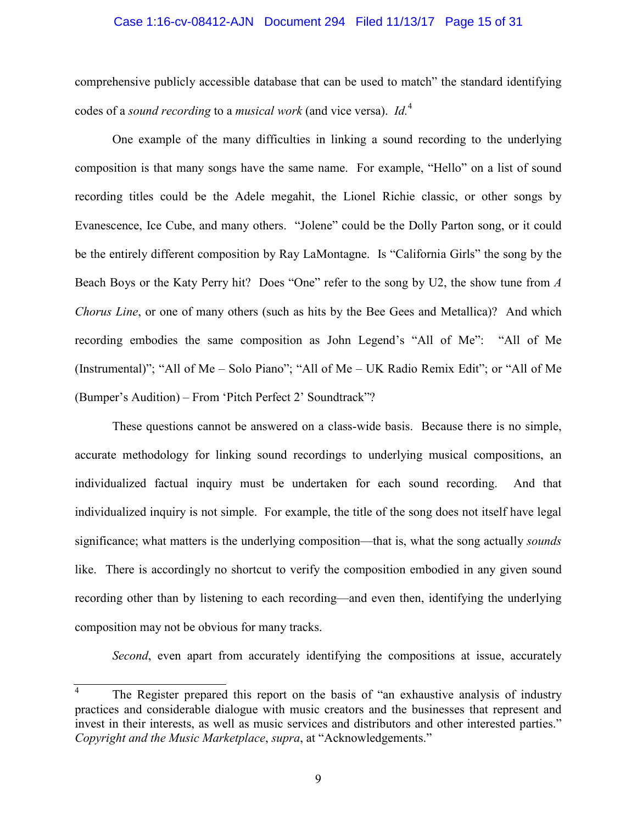#### Case 1:16-cv-08412-AJN Document 294 Filed 11/13/17 Page 15 of 31

comprehensive publicly accessible database that can be used to match" the standard identifying codes of a *sound recording* to a *musical work* (and vice versa). *Id.*<sup>4</sup>

One example of the many difficulties in linking a sound recording to the underlying composition is that many songs have the same name. For example, "Hello" on a list of sound recording titles could be the Adele megahit, the Lionel Richie classic, or other songs by Evanescence, Ice Cube, and many others. "Jolene" could be the Dolly Parton song, or it could be the entirely different composition by Ray LaMontagne. Is "California Girls" the song by the Beach Boys or the Katy Perry hit? Does "One" refer to the song by U2, the show tune from *A Chorus Line*, or one of many others (such as hits by the Bee Gees and Metallica)? And which recording embodies the same composition as John Legend's "All of Me": "All of Me (Instrumental)"; "All of Me – Solo Piano"; "All of Me – UK Radio Remix Edit"; or "All of Me (Bumper's Audition) – From 'Pitch Perfect 2' Soundtrack"?

These questions cannot be answered on a class-wide basis. Because there is no simple, accurate methodology for linking sound recordings to underlying musical compositions, an individualized factual inquiry must be undertaken for each sound recording. And that individualized inquiry is not simple. For example, the title of the song does not itself have legal significance; what matters is the underlying composition—that is, what the song actually *sounds* like. There is accordingly no shortcut to verify the composition embodied in any given sound recording other than by listening to each recording—and even then, identifying the underlying composition may not be obvious for many tracks.

*Second*, even apart from accurately identifying the compositions at issue, accurately

<sup>4</sup> The Register prepared this report on the basis of "an exhaustive analysis of industry practices and considerable dialogue with music creators and the businesses that represent and invest in their interests, as well as music services and distributors and other interested parties." *Copyright and the Music Marketplace*, *supra*, at "Acknowledgements."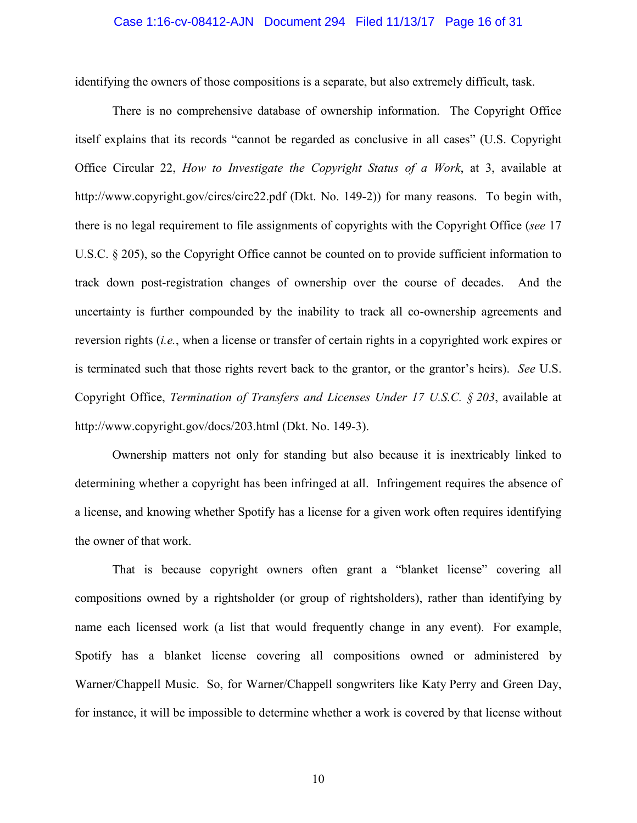#### Case 1:16-cv-08412-AJN Document 294 Filed 11/13/17 Page 16 of 31

identifying the owners of those compositions is a separate, but also extremely difficult, task.

There is no comprehensive database of ownership information. The Copyright Office itself explains that its records "cannot be regarded as conclusive in all cases" (U.S. Copyright Office Circular 22, *How to Investigate the Copyright Status of a Work*, at 3, available at http://www.copyright.gov/circs/circ22.pdf (Dkt. No. 149-2)) for many reasons. To begin with, there is no legal requirement to file assignments of copyrights with the Copyright Office (*see* 17 U.S.C. § 205), so the Copyright Office cannot be counted on to provide sufficient information to track down post-registration changes of ownership over the course of decades. And the uncertainty is further compounded by the inability to track all co-ownership agreements and reversion rights (*i.e.*, when a license or transfer of certain rights in a copyrighted work expires or is terminated such that those rights revert back to the grantor, or the grantor's heirs). *See* U.S. Copyright Office, *Termination of Transfers and Licenses Under 17 U.S.C. § 203*, available at http://www.copyright.gov/docs/203.html (Dkt. No. 149-3).

Ownership matters not only for standing but also because it is inextricably linked to determining whether a copyright has been infringed at all. Infringement requires the absence of a license, and knowing whether Spotify has a license for a given work often requires identifying the owner of that work.

That is because copyright owners often grant a "blanket license" covering all compositions owned by a rightsholder (or group of rightsholders), rather than identifying by name each licensed work (a list that would frequently change in any event). For example, Spotify has a blanket license covering all compositions owned or administered by Warner/Chappell Music. So, for Warner/Chappell songwriters like Katy Perry and Green Day, for instance, it will be impossible to determine whether a work is covered by that license without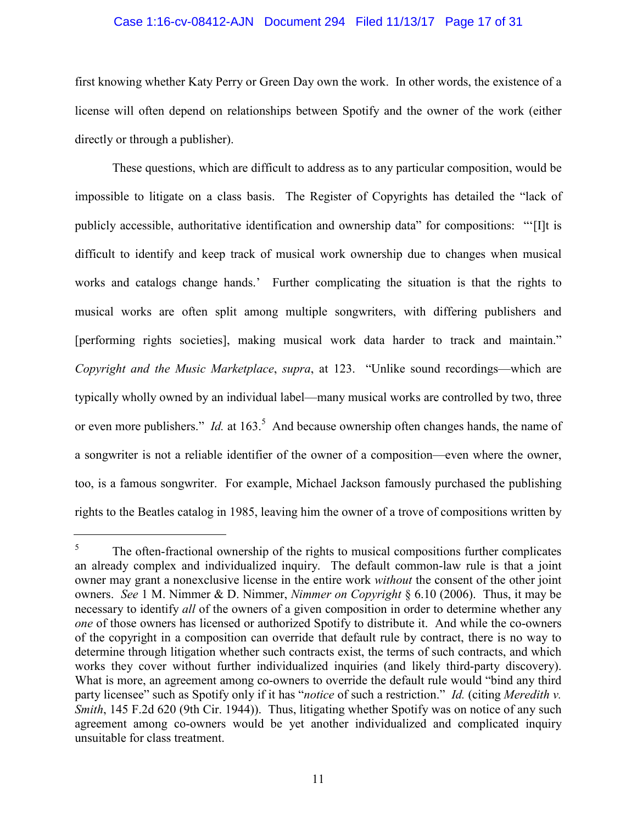#### Case 1:16-cv-08412-AJN Document 294 Filed 11/13/17 Page 17 of 31

first knowing whether Katy Perry or Green Day own the work. In other words, the existence of a license will often depend on relationships between Spotify and the owner of the work (either directly or through a publisher).

These questions, which are difficult to address as to any particular composition, would be impossible to litigate on a class basis. The Register of Copyrights has detailed the "lack of publicly accessible, authoritative identification and ownership data" for compositions: "'[I]t is difficult to identify and keep track of musical work ownership due to changes when musical works and catalogs change hands.' Further complicating the situation is that the rights to musical works are often split among multiple songwriters, with differing publishers and [performing rights societies], making musical work data harder to track and maintain." *Copyright and the Music Marketplace*, *supra*, at 123. "Unlike sound recordings—which are typically wholly owned by an individual label—many musical works are controlled by two, three or even more publishers." *Id.* at 163.<sup>5</sup> And because ownership often changes hands, the name of a songwriter is not a reliable identifier of the owner of a composition—even where the owner, too, is a famous songwriter. For example, Michael Jackson famously purchased the publishing rights to the Beatles catalog in 1985, leaving him the owner of a trove of compositions written by

<sup>5</sup> The often-fractional ownership of the rights to musical compositions further complicates an already complex and individualized inquiry. The default common-law rule is that a joint owner may grant a nonexclusive license in the entire work *without* the consent of the other joint owners. *See* 1 M. Nimmer & D. Nimmer, *Nimmer on Copyright* § 6.10 (2006). Thus, it may be necessary to identify *all* of the owners of a given composition in order to determine whether any *one* of those owners has licensed or authorized Spotify to distribute it. And while the co-owners of the copyright in a composition can override that default rule by contract, there is no way to determine through litigation whether such contracts exist, the terms of such contracts, and which works they cover without further individualized inquiries (and likely third-party discovery). What is more, an agreement among co-owners to override the default rule would "bind any third party licensee" such as Spotify only if it has "*notice* of such a restriction." *Id.* (citing *Meredith v. Smith*, 145 F.2d 620 (9th Cir. 1944)). Thus, litigating whether Spotify was on notice of any such agreement among co-owners would be yet another individualized and complicated inquiry unsuitable for class treatment.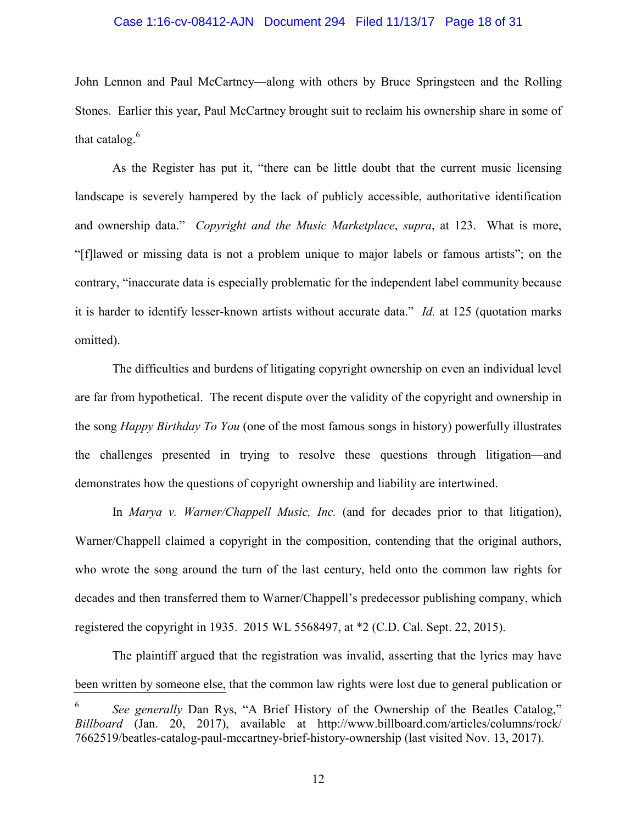# Case 1:16-cv-08412-AJN Document 294 Filed 11/13/17 Page 18 of 31

John Lennon and Paul McCartney—along with others by Bruce Springsteen and the Rolling Stones. Earlier this year, Paul McCartney brought suit to reclaim his ownership share in some of that catalog. $6$ 

As the Register has put it, "there can be little doubt that the current music licensing landscape is severely hampered by the lack of publicly accessible, authoritative identification and ownership data." *Copyright and the Music Marketplace*, *supra*, at 123. What is more, "[f]lawed or missing data is not a problem unique to major labels or famous artists"; on the contrary, "inaccurate data is especially problematic for the independent label community because it is harder to identify lesser-known artists without accurate data." *Id.* at 125 (quotation marks omitted).

The difficulties and burdens of litigating copyright ownership on even an individual level are far from hypothetical. The recent dispute over the validity of the copyright and ownership in the song *Happy Birthday To You* (one of the most famous songs in history) powerfully illustrates the challenges presented in trying to resolve these questions through litigation—and demonstrates how the questions of copyright ownership and liability are intertwined.

In *Marya v. Warner/Chappell Music, Inc.* (and for decades prior to that litigation), Warner/Chappell claimed a copyright in the composition, contending that the original authors, who wrote the song around the turn of the last century, held onto the common law rights for decades and then transferred them to Warner/Chappell's predecessor publishing company, which registered the copyright in 1935. 2015 WL 5568497, at \*2 (C.D. Cal. Sept. 22, 2015).

The plaintiff argued that the registration was invalid, asserting that the lyrics may have been written by someone else, that the common law rights were lost due to general publication or

<sup>6</sup> *See generally* Dan Rys, "A Brief History of the Ownership of the Beatles Catalog," *Billboard* (Jan. 20, 2017), available at http://www.billboard.com/articles/columns/rock/ 7662519/beatles-catalog-paul-mccartney-brief-history-ownership (last visited Nov. 13, 2017).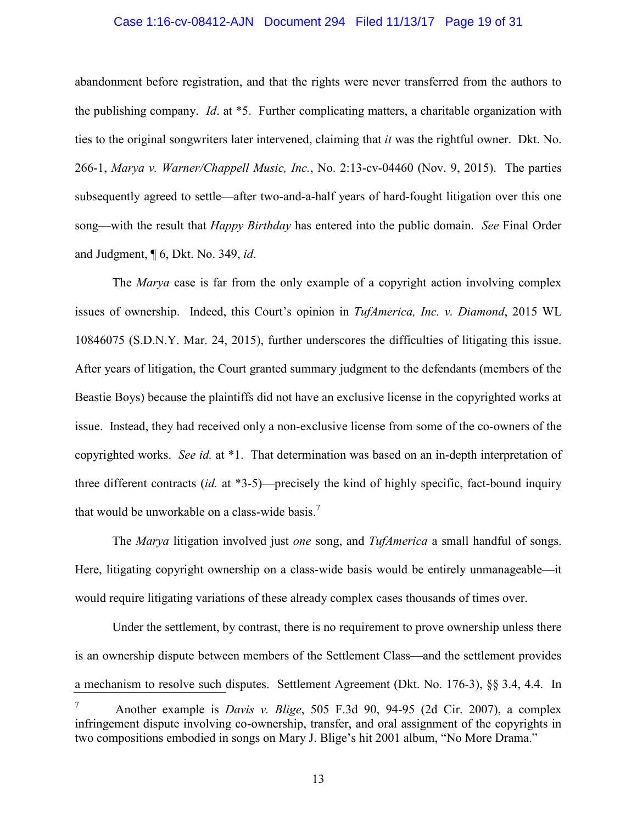#### Case 1:16-cv-08412-AJN Document 294 Filed 11/13/17 Page 19 of 31

abandonment before registration, and that the rights were never transferred from the authors to the publishing company. *Id*. at \*5. Further complicating matters, a charitable organization with ties to the original songwriters later intervened, claiming that *it* was the rightful owner. Dkt. No. 266-1, *Marya v. Warner/Chappell Music, Inc.*, No. 2:13-cv-04460 (Nov. 9, 2015). The parties subsequently agreed to settle—after two-and-a-half years of hard-fought litigation over this one song—with the result that *Happy Birthday* has entered into the public domain. *See* Final Order and Judgment, ¶ 6, Dkt. No. 349, *id*.

The *Marya* case is far from the only example of a copyright action involving complex issues of ownership. Indeed, this Court's opinion in *TufAmerica, Inc. v. Diamond*, 2015 WL 10846075 (S.D.N.Y. Mar. 24, 2015), further underscores the difficulties of litigating this issue. After years of litigation, the Court granted summary judgment to the defendants (members of the Beastie Boys) because the plaintiffs did not have an exclusive license in the copyrighted works at issue. Instead, they had received only a non-exclusive license from some of the co-owners of the copyrighted works. *See id.* at \*1. That determination was based on an in-depth interpretation of three different contracts (*id.* at \*3-5)—precisely the kind of highly specific, fact-bound inquiry that would be unworkable on a class-wide basis.<sup>7</sup>

The *Marya* litigation involved just *one* song, and *TufAmerica* a small handful of songs. Here, litigating copyright ownership on a class-wide basis would be entirely unmanageable—it would require litigating variations of these already complex cases thousands of times over.

Under the settlement, by contrast, there is no requirement to prove ownership unless there is an ownership dispute between members of the Settlement Class—and the settlement provides a mechanism to resolve such disputes. Settlement Agreement (Dkt. No. 176-3), §§ 3.4, 4.4. In <sup>7</sup> Another example is *Davis v. Blige*, 505 F.3d 90, 94-95 (2d Cir. 2007), a complex infringement dispute involving co-ownership, transfer, and oral assignment of the copyrights in two compositions embodied in songs on Mary J. Blige's hit 2001 album, "No More Drama."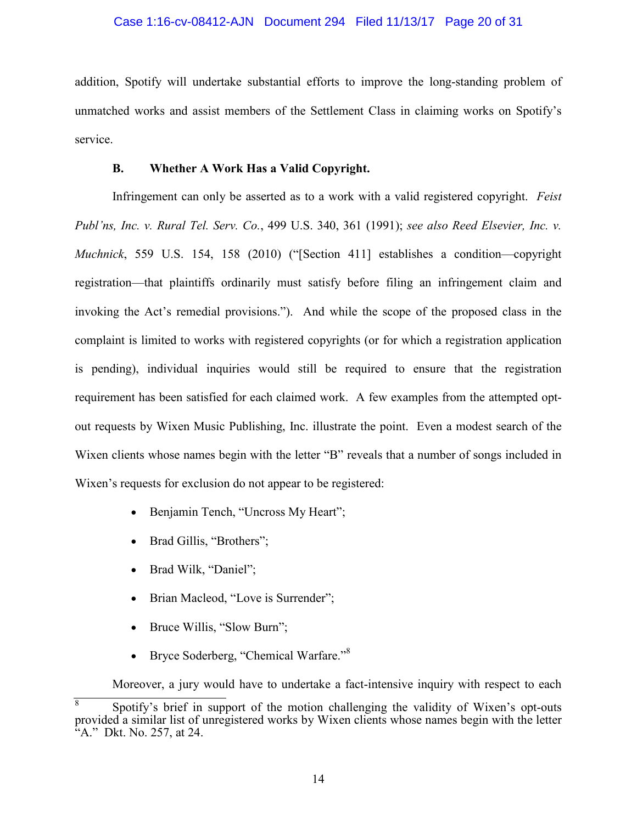## Case 1:16-cv-08412-AJN Document 294 Filed 11/13/17 Page 20 of 31

addition, Spotify will undertake substantial efforts to improve the long-standing problem of unmatched works and assist members of the Settlement Class in claiming works on Spotify's service.

### **B. Whether A Work Has a Valid Copyright.**

Infringement can only be asserted as to a work with a valid registered copyright. *Feist Publ'ns, Inc. v. Rural Tel. Serv. Co.*, 499 U.S. 340, 361 (1991); *see also Reed Elsevier, Inc. v. Muchnick*, 559 U.S. 154, 158 (2010) ("[Section 411] establishes a condition—copyright registration—that plaintiffs ordinarily must satisfy before filing an infringement claim and invoking the Act's remedial provisions."). And while the scope of the proposed class in the complaint is limited to works with registered copyrights (or for which a registration application is pending), individual inquiries would still be required to ensure that the registration requirement has been satisfied for each claimed work. A few examples from the attempted optout requests by Wixen Music Publishing, Inc. illustrate the point. Even a modest search of the Wixen clients whose names begin with the letter "B" reveals that a number of songs included in Wixen's requests for exclusion do not appear to be registered:

- Benjamin Tench, "Uncross My Heart";
- Brad Gillis, "Brothers";
- Brad Wilk, "Daniel";
- Brian Macleod, "Love is Surrender";
- Bruce Willis, "Slow Burn";
- Bryce Soderberg, "Chemical Warfare."<sup>8</sup>

Moreover, a jury would have to undertake a fact-intensive inquiry with respect to each

<sup>8</sup> Spotify's brief in support of the motion challenging the validity of Wixen's opt-outs provided a similar list of unregistered works by Wixen clients whose names begin with the letter  $f^2$ A." Dkt. No. 257, at 24.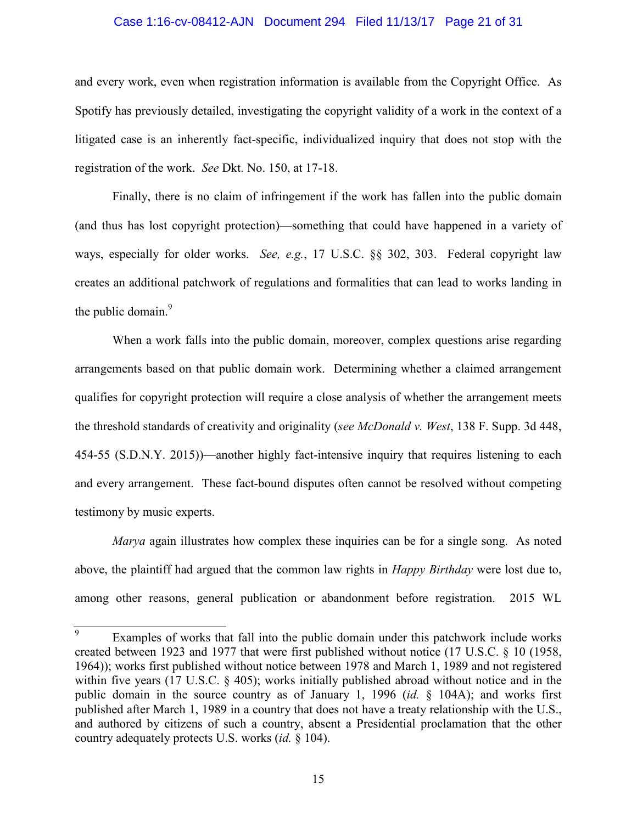#### Case 1:16-cv-08412-AJN Document 294 Filed 11/13/17 Page 21 of 31

and every work, even when registration information is available from the Copyright Office. As Spotify has previously detailed, investigating the copyright validity of a work in the context of a litigated case is an inherently fact-specific, individualized inquiry that does not stop with the registration of the work. *See* Dkt. No. 150, at 17-18.

Finally, there is no claim of infringement if the work has fallen into the public domain (and thus has lost copyright protection)—something that could have happened in a variety of ways, especially for older works. *See, e.g.*, 17 U.S.C. §§ 302, 303. Federal copyright law creates an additional patchwork of regulations and formalities that can lead to works landing in the public domain.<sup>9</sup>

When a work falls into the public domain, moreover, complex questions arise regarding arrangements based on that public domain work. Determining whether a claimed arrangement qualifies for copyright protection will require a close analysis of whether the arrangement meets the threshold standards of creativity and originality (*see McDonald v. West*, 138 F. Supp. 3d 448, 454-55 (S.D.N.Y. 2015))—another highly fact-intensive inquiry that requires listening to each and every arrangement. These fact-bound disputes often cannot be resolved without competing testimony by music experts.

*Marya* again illustrates how complex these inquiries can be for a single song. As noted above, the plaintiff had argued that the common law rights in *Happy Birthday* were lost due to, among other reasons, general publication or abandonment before registration. 2015 WL

<sup>9</sup> Examples of works that fall into the public domain under this patchwork include works created between 1923 and 1977 that were first published without notice (17 U.S.C. § 10 (1958, 1964)); works first published without notice between 1978 and March 1, 1989 and not registered within five years (17 U.S.C. § 405); works initially published abroad without notice and in the public domain in the source country as of January 1, 1996 (*id.* § 104A); and works first published after March 1, 1989 in a country that does not have a treaty relationship with the U.S., and authored by citizens of such a country, absent a Presidential proclamation that the other country adequately protects U.S. works (*id.* § 104).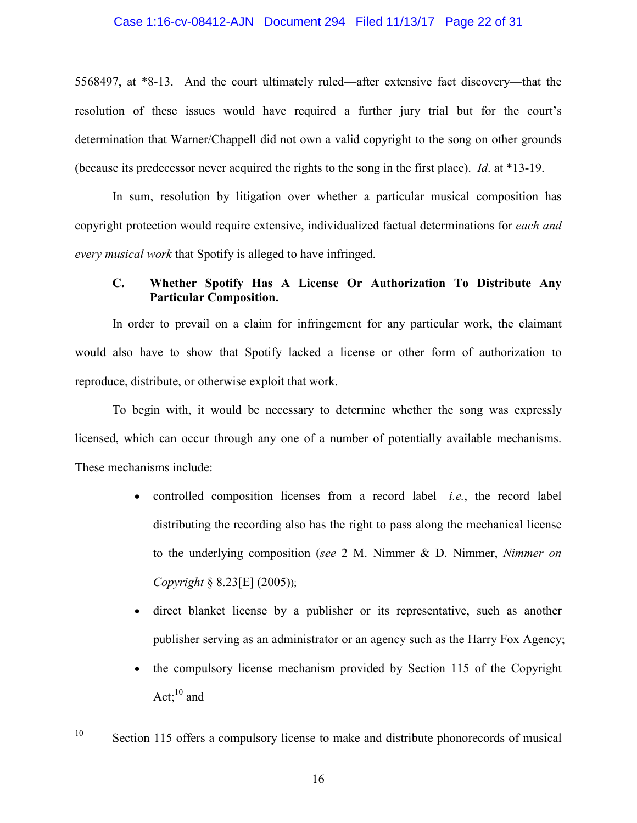### Case 1:16-cv-08412-AJN Document 294 Filed 11/13/17 Page 22 of 31

5568497, at \*8-13. And the court ultimately ruled—after extensive fact discovery—that the resolution of these issues would have required a further jury trial but for the court's determination that Warner/Chappell did not own a valid copyright to the song on other grounds (because its predecessor never acquired the rights to the song in the first place). *Id*. at \*13-19.

In sum, resolution by litigation over whether a particular musical composition has copyright protection would require extensive, individualized factual determinations for *each and every musical work* that Spotify is alleged to have infringed.

## **C. Whether Spotify Has A License Or Authorization To Distribute Any Particular Composition.**

In order to prevail on a claim for infringement for any particular work, the claimant would also have to show that Spotify lacked a license or other form of authorization to reproduce, distribute, or otherwise exploit that work.

To begin with, it would be necessary to determine whether the song was expressly licensed, which can occur through any one of a number of potentially available mechanisms. These mechanisms include:

- controlled composition licenses from a record label—*i.e.*, the record label distributing the recording also has the right to pass along the mechanical license to the underlying composition (*see* 2 M. Nimmer & D. Nimmer, *Nimmer on Copyright* § 8.23[E] (2005));
- direct blanket license by a publisher or its representative, such as another publisher serving as an administrator or an agency such as the Harry Fox Agency;
- the compulsory license mechanism provided by Section 115 of the Copyright Act; $^{10}$  and

<sup>&</sup>lt;sup>10</sup> Section 115 offers a compulsory license to make and distribute phonorecords of musical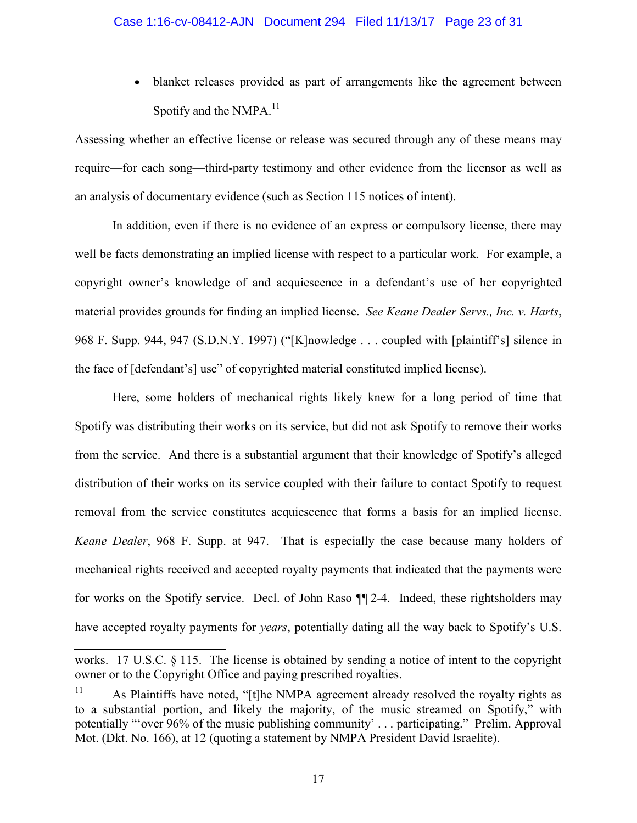• blanket releases provided as part of arrangements like the agreement between Spotify and the NMP $A<sup>11</sup>$ 

Assessing whether an effective license or release was secured through any of these means may require—for each song—third-party testimony and other evidence from the licensor as well as an analysis of documentary evidence (such as Section 115 notices of intent).

In addition, even if there is no evidence of an express or compulsory license, there may well be facts demonstrating an implied license with respect to a particular work. For example, a copyright owner's knowledge of and acquiescence in a defendant's use of her copyrighted material provides grounds for finding an implied license. *See Keane Dealer Servs., Inc. v. Harts*, 968 F. Supp. 944, 947 (S.D.N.Y. 1997) ("[K]nowledge . . . coupled with [plaintiff's] silence in the face of [defendant's] use" of copyrighted material constituted implied license).

Here, some holders of mechanical rights likely knew for a long period of time that Spotify was distributing their works on its service, but did not ask Spotify to remove their works from the service. And there is a substantial argument that their knowledge of Spotify's alleged distribution of their works on its service coupled with their failure to contact Spotify to request removal from the service constitutes acquiescence that forms a basis for an implied license. *Keane Dealer*, 968 F. Supp. at 947. That is especially the case because many holders of mechanical rights received and accepted royalty payments that indicated that the payments were for works on the Spotify service. Decl. of John Raso ¶¶ 2-4. Indeed, these rightsholders may have accepted royalty payments for *years*, potentially dating all the way back to Spotify's U.S.

works. 17 U.S.C. § 115. The license is obtained by sending a notice of intent to the copyright owner or to the Copyright Office and paying prescribed royalties.

<sup>&</sup>lt;sup>11</sup> As Plaintiffs have noted, "[t]he NMPA agreement already resolved the royalty rights as to a substantial portion, and likely the majority, of the music streamed on Spotify," with potentially "'over 96% of the music publishing community' . . . participating." Prelim. Approval Mot. (Dkt. No. 166), at 12 (quoting a statement by NMPA President David Israelite).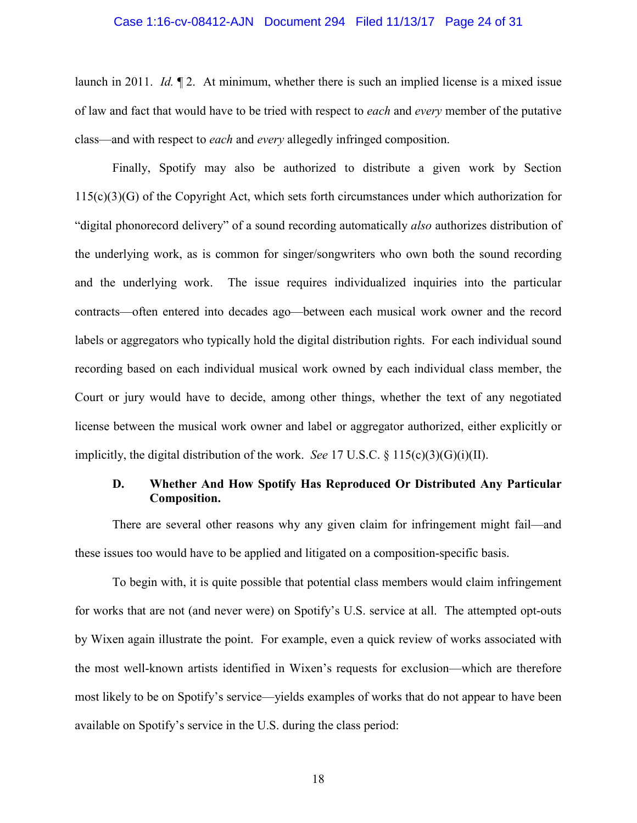#### Case 1:16-cv-08412-AJN Document 294 Filed 11/13/17 Page 24 of 31

launch in 2011. *Id.* ¶ 2. At minimum, whether there is such an implied license is a mixed issue of law and fact that would have to be tried with respect to *each* and *every* member of the putative class—and with respect to *each* and *every* allegedly infringed composition.

Finally, Spotify may also be authorized to distribute a given work by Section 115(c)(3)(G) of the Copyright Act, which sets forth circumstances under which authorization for "digital phonorecord delivery" of a sound recording automatically *also* authorizes distribution of the underlying work, as is common for singer/songwriters who own both the sound recording and the underlying work. The issue requires individualized inquiries into the particular contracts—often entered into decades ago—between each musical work owner and the record labels or aggregators who typically hold the digital distribution rights. For each individual sound recording based on each individual musical work owned by each individual class member, the Court or jury would have to decide, among other things, whether the text of any negotiated license between the musical work owner and label or aggregator authorized, either explicitly or implicitly, the digital distribution of the work. *See* 17 U.S.C. § 115(c)(3)(G)(i)(II).

## **D. Whether And How Spotify Has Reproduced Or Distributed Any Particular Composition.**

There are several other reasons why any given claim for infringement might fail—and these issues too would have to be applied and litigated on a composition-specific basis.

To begin with, it is quite possible that potential class members would claim infringement for works that are not (and never were) on Spotify's U.S. service at all. The attempted opt-outs by Wixen again illustrate the point. For example, even a quick review of works associated with the most well-known artists identified in Wixen's requests for exclusion—which are therefore most likely to be on Spotify's service—yields examples of works that do not appear to have been available on Spotify's service in the U.S. during the class period:

18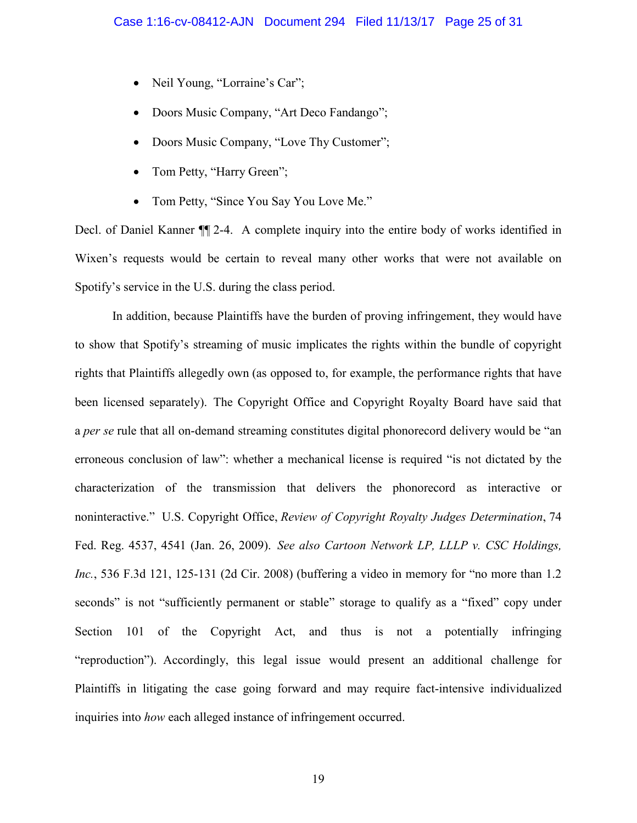- Neil Young, "Lorraine's Car";
- Doors Music Company, "Art Deco Fandango";
- Doors Music Company, "Love Thy Customer";
- Tom Petty, "Harry Green";
- Tom Petty, "Since You Say You Love Me."

Decl. of Daniel Kanner ¶¶ 2-4. A complete inquiry into the entire body of works identified in Wixen's requests would be certain to reveal many other works that were not available on Spotify's service in the U.S. during the class period.

In addition, because Plaintiffs have the burden of proving infringement, they would have to show that Spotify's streaming of music implicates the rights within the bundle of copyright rights that Plaintiffs allegedly own (as opposed to, for example, the performance rights that have been licensed separately). The Copyright Office and Copyright Royalty Board have said that a *per se* rule that all on-demand streaming constitutes digital phonorecord delivery would be "an erroneous conclusion of law": whether a mechanical license is required "is not dictated by the characterization of the transmission that delivers the phonorecord as interactive or noninteractive." U.S. Copyright Office, *Review of Copyright Royalty Judges Determination*, 74 Fed. Reg. 4537, 4541 (Jan. 26, 2009). *See also Cartoon Network LP, LLLP v. CSC Holdings, Inc.*, 536 F.3d 121, 125-131 (2d Cir. 2008) (buffering a video in memory for "no more than 1.2 seconds" is not "sufficiently permanent or stable" storage to qualify as a "fixed" copy under Section 101 of the Copyright Act, and thus is not a potentially infringing "reproduction"). Accordingly, this legal issue would present an additional challenge for Plaintiffs in litigating the case going forward and may require fact-intensive individualized inquiries into *how* each alleged instance of infringement occurred.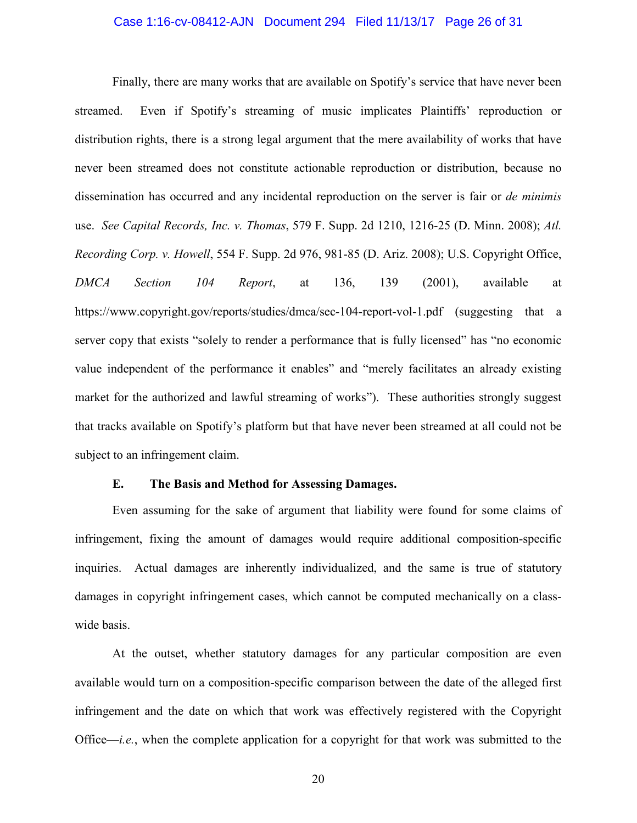#### Case 1:16-cv-08412-AJN Document 294 Filed 11/13/17 Page 26 of 31

Finally, there are many works that are available on Spotify's service that have never been streamed. Even if Spotify's streaming of music implicates Plaintiffs' reproduction or distribution rights, there is a strong legal argument that the mere availability of works that have never been streamed does not constitute actionable reproduction or distribution, because no dissemination has occurred and any incidental reproduction on the server is fair or *de minimis* use. *See Capital Records, Inc. v. Thomas*, 579 F. Supp. 2d 1210, 1216-25 (D. Minn. 2008); *Atl. Recording Corp. v. Howell*, 554 F. Supp. 2d 976, 981-85 (D. Ariz. 2008); U.S. Copyright Office, *DMCA Section 104 Report*, at 136, 139 (2001), available at https://www.copyright.gov/reports/studies/dmca/sec-104-report-vol-1.pdf (suggesting that a server copy that exists "solely to render a performance that is fully licensed" has "no economic value independent of the performance it enables" and "merely facilitates an already existing market for the authorized and lawful streaming of works"). These authorities strongly suggest that tracks available on Spotify's platform but that have never been streamed at all could not be subject to an infringement claim.

#### **E. The Basis and Method for Assessing Damages.**

Even assuming for the sake of argument that liability were found for some claims of infringement, fixing the amount of damages would require additional composition-specific inquiries. Actual damages are inherently individualized, and the same is true of statutory damages in copyright infringement cases, which cannot be computed mechanically on a classwide basis.

At the outset, whether statutory damages for any particular composition are even available would turn on a composition-specific comparison between the date of the alleged first infringement and the date on which that work was effectively registered with the Copyright Office—*i.e.*, when the complete application for a copyright for that work was submitted to the

20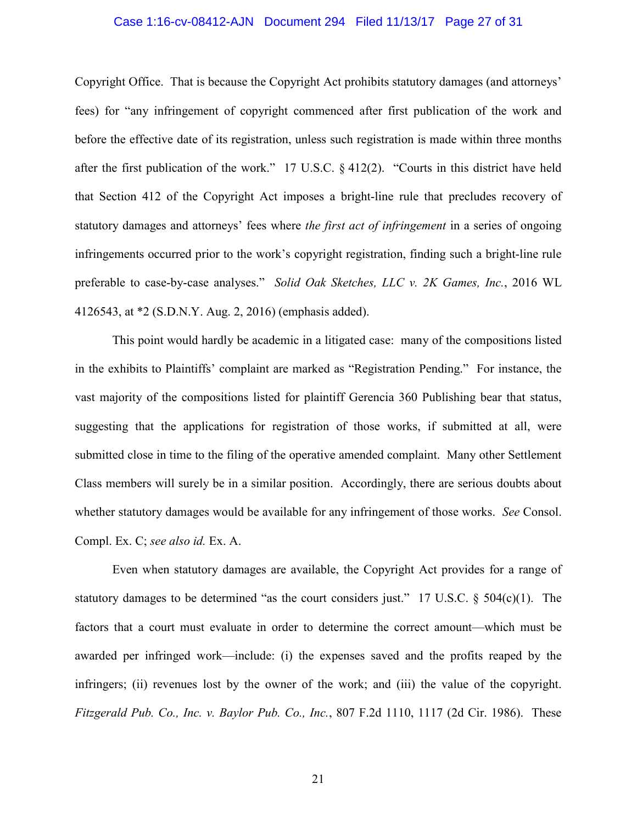#### Case 1:16-cv-08412-AJN Document 294 Filed 11/13/17 Page 27 of 31

Copyright Office. That is because the Copyright Act prohibits statutory damages (and attorneys' fees) for "any infringement of copyright commenced after first publication of the work and before the effective date of its registration, unless such registration is made within three months after the first publication of the work." 17 U.S.C. § 412(2). "Courts in this district have held that Section 412 of the Copyright Act imposes a bright-line rule that precludes recovery of statutory damages and attorneys' fees where *the first act of infringement* in a series of ongoing infringements occurred prior to the work's copyright registration, finding such a bright-line rule preferable to case-by-case analyses." *Solid Oak Sketches, LLC v. 2K Games, Inc.*, 2016 WL 4126543, at \*2 (S.D.N.Y. Aug. 2, 2016) (emphasis added).

This point would hardly be academic in a litigated case: many of the compositions listed in the exhibits to Plaintiffs' complaint are marked as "Registration Pending." For instance, the vast majority of the compositions listed for plaintiff Gerencia 360 Publishing bear that status, suggesting that the applications for registration of those works, if submitted at all, were submitted close in time to the filing of the operative amended complaint. Many other Settlement Class members will surely be in a similar position. Accordingly, there are serious doubts about whether statutory damages would be available for any infringement of those works. *See* Consol. Compl. Ex. C; *see also id.* Ex. A.

Even when statutory damages are available, the Copyright Act provides for a range of statutory damages to be determined "as the court considers just." 17 U.S.C.  $\S$  504(c)(1). The factors that a court must evaluate in order to determine the correct amount—which must be awarded per infringed work—include: (i) the expenses saved and the profits reaped by the infringers; (ii) revenues lost by the owner of the work; and (iii) the value of the copyright. *Fitzgerald Pub. Co., Inc. v. Baylor Pub. Co., Inc.*, 807 F.2d 1110, 1117 (2d Cir. 1986). These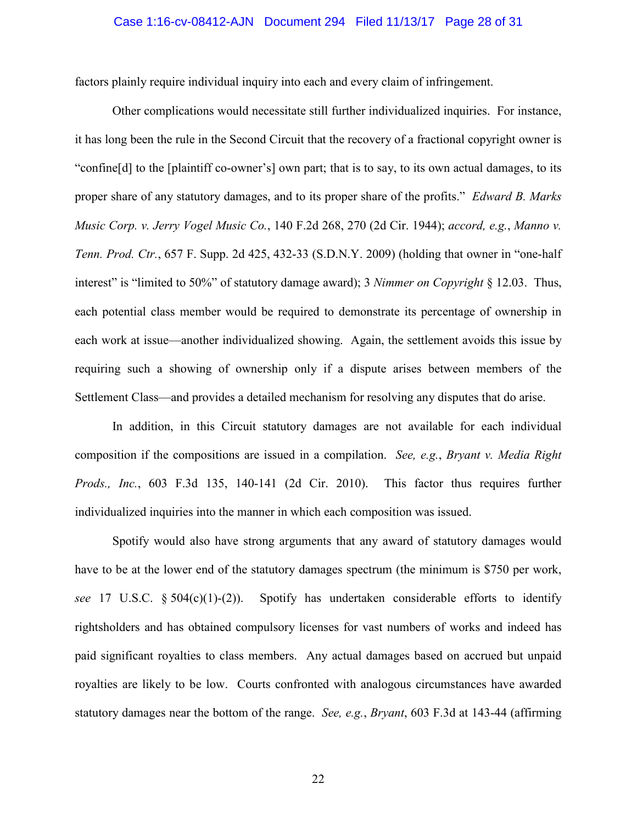#### Case 1:16-cv-08412-AJN Document 294 Filed 11/13/17 Page 28 of 31

factors plainly require individual inquiry into each and every claim of infringement.

Other complications would necessitate still further individualized inquiries. For instance, it has long been the rule in the Second Circuit that the recovery of a fractional copyright owner is "confine[d] to the [plaintiff co-owner's] own part; that is to say, to its own actual damages, to its proper share of any statutory damages, and to its proper share of the profits." *Edward B. Marks Music Corp. v. Jerry Vogel Music Co.*, 140 F.2d 268, 270 (2d Cir. 1944); *accord, e.g.*, *Manno v. Tenn. Prod. Ctr.*, 657 F. Supp. 2d 425, 432-33 (S.D.N.Y. 2009) (holding that owner in "one-half interest" is "limited to 50%" of statutory damage award); 3 *Nimmer on Copyright* § 12.03. Thus, each potential class member would be required to demonstrate its percentage of ownership in each work at issue—another individualized showing. Again, the settlement avoids this issue by requiring such a showing of ownership only if a dispute arises between members of the Settlement Class—and provides a detailed mechanism for resolving any disputes that do arise.

In addition, in this Circuit statutory damages are not available for each individual composition if the compositions are issued in a compilation. *See, e.g.*, *Bryant v. Media Right Prods., Inc.*, 603 F.3d 135, 140-141 (2d Cir. 2010). This factor thus requires further individualized inquiries into the manner in which each composition was issued.

Spotify would also have strong arguments that any award of statutory damages would have to be at the lower end of the statutory damages spectrum (the minimum is \$750 per work, *see* 17 U.S.C. § 504(c)(1)-(2)). Spotify has undertaken considerable efforts to identify rightsholders and has obtained compulsory licenses for vast numbers of works and indeed has paid significant royalties to class members. Any actual damages based on accrued but unpaid royalties are likely to be low. Courts confronted with analogous circumstances have awarded statutory damages near the bottom of the range. *See, e.g.*, *Bryant*, 603 F.3d at 143-44 (affirming

22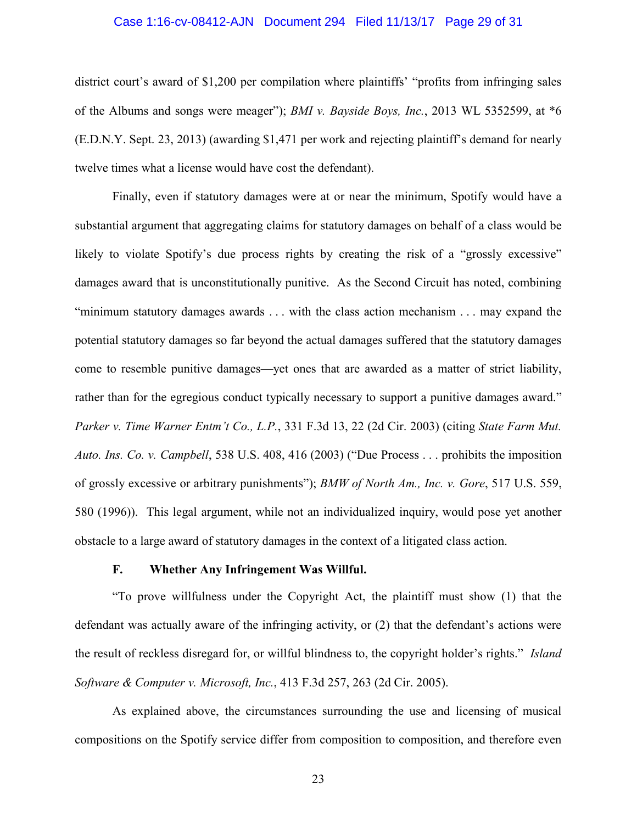#### Case 1:16-cv-08412-AJN Document 294 Filed 11/13/17 Page 29 of 31

district court's award of \$1,200 per compilation where plaintiffs' "profits from infringing sales of the Albums and songs were meager"); *BMI v. Bayside Boys, Inc.*, 2013 WL 5352599, at \*6 (E.D.N.Y. Sept. 23, 2013) (awarding \$1,471 per work and rejecting plaintiff's demand for nearly twelve times what a license would have cost the defendant).

Finally, even if statutory damages were at or near the minimum, Spotify would have a substantial argument that aggregating claims for statutory damages on behalf of a class would be likely to violate Spotify's due process rights by creating the risk of a "grossly excessive" damages award that is unconstitutionally punitive. As the Second Circuit has noted, combining "minimum statutory damages awards . . . with the class action mechanism . . . may expand the potential statutory damages so far beyond the actual damages suffered that the statutory damages come to resemble punitive damages—yet ones that are awarded as a matter of strict liability, rather than for the egregious conduct typically necessary to support a punitive damages award." *Parker v. Time Warner Entm't Co., L.P.*, 331 F.3d 13, 22 (2d Cir. 2003) (citing *State Farm Mut. Auto. Ins. Co. v. Campbell*, 538 U.S. 408, 416 (2003) ("Due Process . . . prohibits the imposition of grossly excessive or arbitrary punishments"); *BMW of North Am., Inc. v. Gore*, 517 U.S. 559, 580 (1996)). This legal argument, while not an individualized inquiry, would pose yet another obstacle to a large award of statutory damages in the context of a litigated class action.

#### **F. Whether Any Infringement Was Willful.**

"To prove willfulness under the Copyright Act, the plaintiff must show (1) that the defendant was actually aware of the infringing activity, or (2) that the defendant's actions were the result of reckless disregard for, or willful blindness to, the copyright holder's rights." *Island Software & Computer v. Microsoft, Inc.*, 413 F.3d 257, 263 (2d Cir. 2005).

As explained above, the circumstances surrounding the use and licensing of musical compositions on the Spotify service differ from composition to composition, and therefore even

23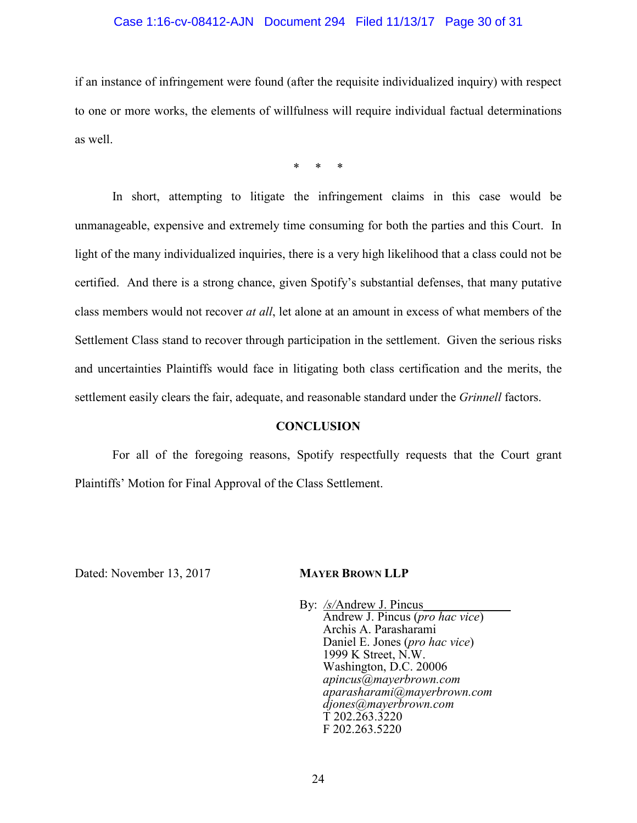## Case 1:16-cv-08412-AJN Document 294 Filed 11/13/17 Page 30 of 31

if an instance of infringement were found (after the requisite individualized inquiry) with respect to one or more works, the elements of willfulness will require individual factual determinations as well.

\* \* \*

In short, attempting to litigate the infringement claims in this case would be unmanageable, expensive and extremely time consuming for both the parties and this Court. In light of the many individualized inquiries, there is a very high likelihood that a class could not be certified. And there is a strong chance, given Spotify's substantial defenses, that many putative class members would not recover *at all*, let alone at an amount in excess of what members of the Settlement Class stand to recover through participation in the settlement. Given the serious risks and uncertainties Plaintiffs would face in litigating both class certification and the merits, the settlement easily clears the fair, adequate, and reasonable standard under the *Grinnell* factors.

#### **CONCLUSION**

For all of the foregoing reasons, Spotify respectfully requests that the Court grant Plaintiffs' Motion for Final Approval of the Class Settlement.

Dated: November 13, 2017 **MAYER BROWN LLP**

By: /s/Andrew J. Pincus Andrew J. Pincus (*pro hac vice*) Archis A. Parasharami Daniel E. Jones (*pro hac vice*) 1999 K Street, N.W. Washington, D.C. 20006 *apincus@mayerbrown.com aparasharami@mayerbrown.com djones@mayerbrown.com* T 202.263.3220 F 202.263.5220